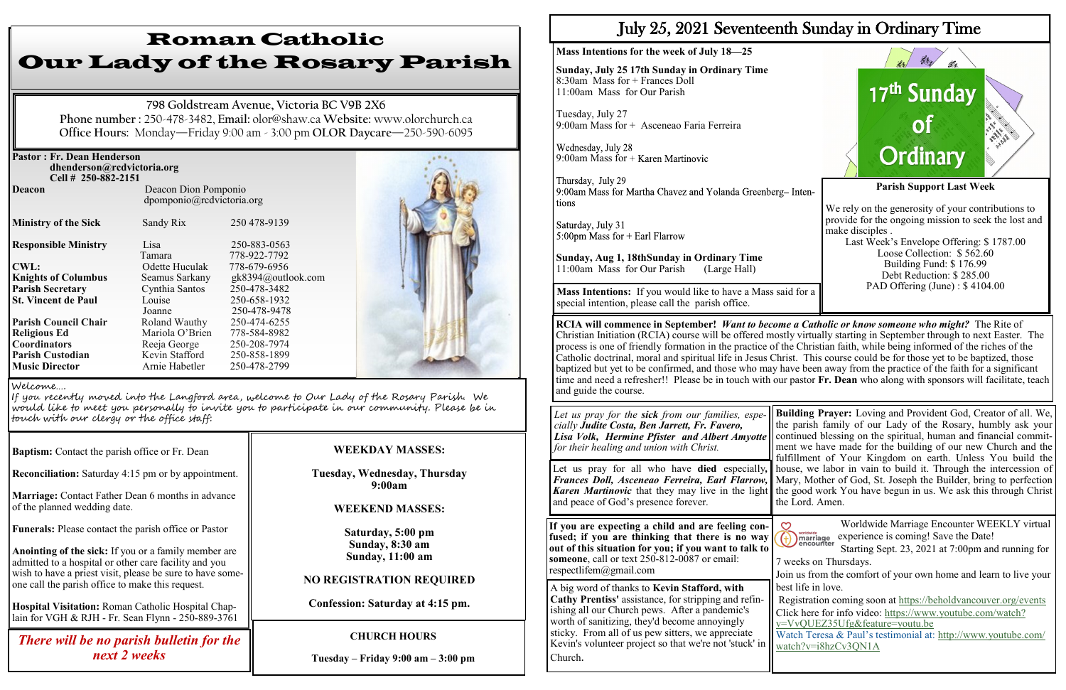| <b>Pastor: Fr. Dean Henderson</b><br>dhenderson@rcdvictoria.org<br>Cell # 250-882-2151 |                                                   |                              |  |
|----------------------------------------------------------------------------------------|---------------------------------------------------|------------------------------|--|
| <b>Deacon</b>                                                                          | Deacon Dion Pomponio<br>dpomponio@rcdvictoria.org |                              |  |
| <b>Ministry of the Sick</b>                                                            | Sandy Rix                                         | 250 478-9139                 |  |
| <b>Responsible Ministry</b>                                                            | Lisa<br>Tamara                                    | 250-883-0563<br>778-922-7792 |  |
| <b>CWL:</b>                                                                            | Odette Huculak                                    | 778-679-6956                 |  |
| <b>Knights of Columbus</b>                                                             | Seamus Sarkany                                    | gk8394@outlook.com           |  |
| <b>Parish Secretary</b>                                                                | Cynthia Santos                                    | 250-478-3482                 |  |
| <b>St. Vincent de Paul</b>                                                             | Louise                                            | 250-658-1932                 |  |
|                                                                                        | Joanne                                            | 250-478-9478                 |  |
| <b>Parish Council Chair</b>                                                            | Roland Wauthy                                     | 250-474-6255                 |  |
| <b>Religious Ed</b>                                                                    | Mariola O'Brien                                   | 778-584-8982                 |  |
| <b>Coordinators</b>                                                                    | Reeja George                                      | 250-208-7974                 |  |
| <b>Parish Custodian</b>                                                                | Kevin Stafford                                    | 250-858-1899                 |  |
| <b>Music Director</b>                                                                  | Arnie Habetler                                    | 250-478-2799                 |  |

**Baptism:** Contact the parish office or Fr. Dean

**Reconciliation:** Saturday 4:15 pm or by appointment.

**Marriage:** Contact Father Dean 6 months in advance of the planned wedding date.

**Funerals:** Please contact the parish office or Pastor

**Anointing of the sick:** If you or a family member are admitted to a hospital or other care facility and you wish to have a priest visit, please be sure to have someone call the parish office to make this request.

**Hospital Visitation:** Roman Catholic Hospital Chaplain for VGH & RJH - Fr. Sean Flynn - 250-889-3761

# Roman Catholic Our Lady of the Rosary Parish

**798 Goldstream Avenue, Victoria BC V9B 2X6 Phone number :** 250-478-3482, **Email:** olor@shaw.ca **Website:** www.olorchurch.ca **Office Hours:** Monday—Friday 9:00 am - 3:00 pm **OLOR Daycare**—250-590-6095

### **WEEKDAY MASSES:**

#### **Tuesday, Wednesday, Thursday 9:00am**

### **WEEKEND MASSES:**

**Saturday, 5:00 pm Sunday, 8:30 am Sunday, 11:00 am** 

### **NO REGISTRATION REQUIRED**

**Confession: Saturday at 4:15 pm.**

Welcome….

If you recently moved into the Langford area, welcome to Our Lady of the Rosary Parish. We would like to meet you personally to invite you to participate in our community. Please be in touch with our clergy or the office staff:

## **CHURCH HOURS**

**Tuesday – Friday 9:00 am – 3:00 pm**

## *There will be no parish bulletin for the next 2 weeks*

## July 25, 2021 Seventeenth Sunday in Ordinary Time

#### **Mass Intentions for the week of July 18—25**

**Sunday, July 25 17th Sunday in Ordinary Time** 8:30am Mass for + Frances Doll 11:00am Mass for Our Parish

Lisa Volk, Hermine Pfister and Albert Amyotte | continued blessing on the spiritual, human and financial commit-**Building Prayer:** Loving and Provident God, Creator of all. We, the parish family of our Lady of the Rosary, humbly ask your ment we have made for the building of our new Church and the fulfillment of Your Kingdom on earth. Unless You build the house, we labor in vain to build it. Through the intercession of the Lord. Amen.

Tuesday, July 27 9:00am Mass for + Asceneao Faria Ferreira

Wednesday, July 28 9:00am Mass for + Karen Martinovic

Thursday, July 29 9:00am Mass for Martha Chavez and Yolanda Greenberg- Intentions

Saturday, July 31 5:00pm Mass for  $+$  Earl Flarrow

**Sunday, Aug 1, 18thSunday in Ordinary Time** 11:00am Mass for Our Parish (Large Hall)



**RCIA will commence in September!** *Want to become a Catholic or know someone who might?* The Rite of Christian Initiation (RCIA) course will be offered mostly virtually starting in September through to next Easter. The process is one of friendly formation in the practice of the Christian faith, while being informed of the riches of the Catholic doctrinal, moral and spiritual life in Jesus Christ. This course could be for those yet to be baptized, those baptized but yet to be confirmed, and those who may have been away from the practice of the faith for a significant time and need a refresher!! Please be in touch with our pastor **Fr. Dean** who along with sponsors will facilitate, teach and guide the course.

**Mass Intentions:** If you would like to have a Mass said for a special intention, please call the parish office.

*Let us pray for the sick from our families, especially Judite Costa, Ben Jarrett, Fr. Favero, for their healing and union with Christ.* Let us pray for all who have **died** especially*, Frances Doll, Asceneao Ferreira, Earl Flarrow,* Mary, Mother of God, St. Joseph the Builder, bring to perfection Karen Martinovic that they may live in the light the good work You have begun in us. We ask this through Christ and peace of God's presence forever.

**If you are expecting a child and are feeling confused; if you are thinking that there is no way out of this situation for you; if you want to talk to someone**, call or text 250-812-0087 or email: respectlifem@gmail.com

Worldwide Marriage Encounter WEEKLY virtual  $\circ$  $\bigoplus_{\substack{\text{unartified} \\ \text{encounter}}}$  experience is coming! Save the Date! Starting Sept. 23, 2021 at 7:00pm and running for

7 weeks on Thursdays.

Join us from the comfort of your own home and learn to live your best life in love.

Registration coming soon at <https://beholdvancouver.org/events> Click here for info video: [https://www.youtube.com/watch?](https://www.youtube.com/watch?v=VvQUEZ35Ufg&feature=youtu.be) [v=VvQUEZ35Ufg&feature=youtu.be](https://www.youtube.com/watch?v=VvQUEZ35Ufg&feature=youtu.be)

Watch Teresa & Paul's testimonial at: [http://www.youtube.com/](http://www.youtube.com/watch?v=i8hzCv3QN1A) [watch?v=i8hzCv3QN1A](http://www.youtube.com/watch?v=i8hzCv3QN1A)

A big word of thanks to **Kevin Stafford, with Cathy Prentiss'** assistance, for stripping and refinishing all our Church pews. After a pandemic's worth of sanitizing, they'd become annoyingly sticky. From all of us pew sitters, we appreciate Kevin's volunteer project so that we're not 'stuck' in Church.